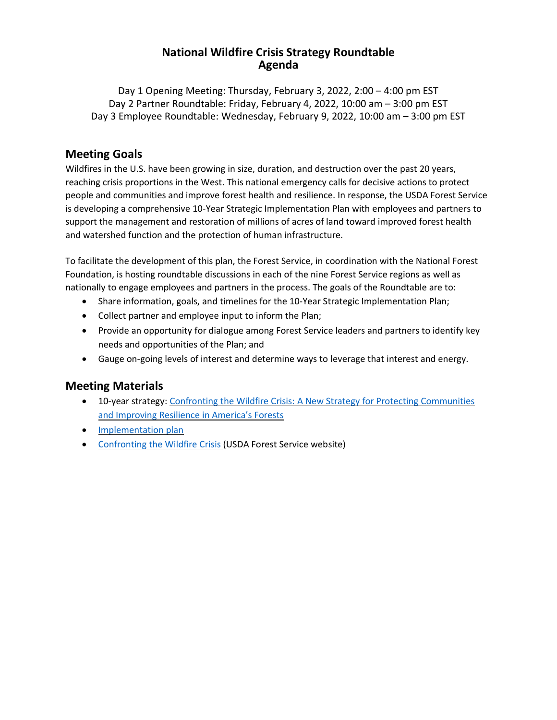#### **National Wildfire Crisis Strategy Roundtable Agenda**

Day 1 Opening Meeting: Thursday, February 3, 2022, 2:00 – 4:00 pm EST Day 2 Partner Roundtable: Friday, February 4, 2022, 10:00 am – 3:00 pm EST Day 3 Employee Roundtable: Wednesday, February 9, 2022, 10:00 am – 3:00 pm EST

### **Meeting Goals**

Wildfires in the U.S. have been growing in size, duration, and destruction over the past 20 years, reaching crisis proportions in the West. This national emergency calls for decisive actions to protect people and communities and improve forest health and resilience. In response, the USDA Forest Service is developing a comprehensive 10-Year Strategic Implementation Plan with employees and partners to support the management and restoration of millions of acres of land toward improved forest health and watershed function and the protection of human infrastructure.

To facilitate the development of this plan, the Forest Service, in coordination with the National Forest Foundation, is hosting roundtable discussions in each of the nine Forest Service regions as well as nationally to engage employees and partners in the process. The goals of the Roundtable are to:

- Share information, goals, and timelines for the 10-Year Strategic Implementation Plan;
- Collect partner and employee input to inform the Plan;
- Provide an opportunity for dialogue among Forest Service leaders and partners to identify key needs and opportunities of the Plan; and
- Gauge on-going levels of interest and determine ways to leverage that interest and energy.

### **Meeting Materials**

- 10-year strategy: Confronting the Wildfire Crisis: A New Strategy for Protecting [Communities](https://www.fs.usda.gov/sites/default/files/Confronting-Wildfire-Crisis.pdf) and [Improving](https://www.fs.usda.gov/sites/default/files/Confronting-Wildfire-Crisis.pdf) Resilience in America's Forests
- [Implementation](https://www.fs.usda.gov/sites/default/files/Wildfire-Crisis-Implementation-Plan.pdf) plan
- [Confronting](https://www.fs.usda.gov/managing-land/wildfire-crisis) the Wildfire Crisis (USDA Forest Service website)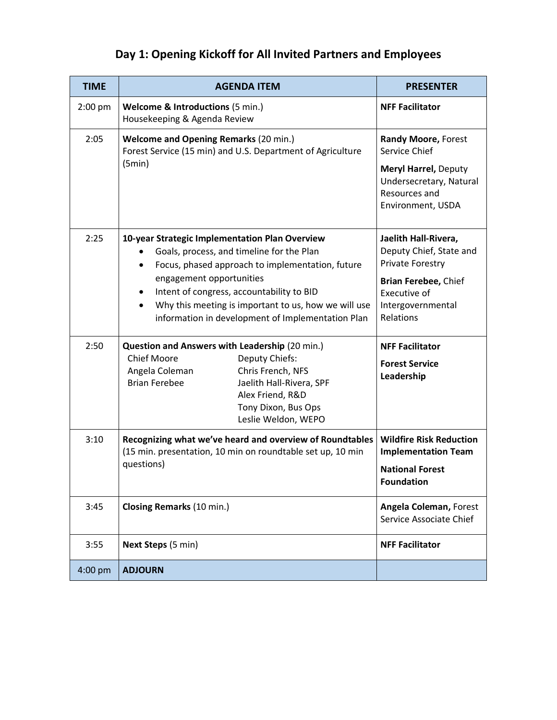# **Day 1: Opening Kickoff for All Invited Partners and Employees**

| <b>TIME</b> | <b>AGENDA ITEM</b>                                                                                                                                                                                                                                                                                                                                              | <b>PRESENTER</b>                                                                             |
|-------------|-----------------------------------------------------------------------------------------------------------------------------------------------------------------------------------------------------------------------------------------------------------------------------------------------------------------------------------------------------------------|----------------------------------------------------------------------------------------------|
| $2:00$ pm   | <b>Welcome &amp; Introductions (5 min.)</b><br>Housekeeping & Agenda Review                                                                                                                                                                                                                                                                                     | <b>NFF Facilitator</b>                                                                       |
| 2:05        | <b>Welcome and Opening Remarks (20 min.)</b><br>Forest Service (15 min) and U.S. Department of Agriculture<br>(5min)                                                                                                                                                                                                                                            | <b>Randy Moore, Forest</b><br>Service Chief                                                  |
|             |                                                                                                                                                                                                                                                                                                                                                                 | <b>Meryl Harrel, Deputy</b><br>Undersecretary, Natural<br>Resources and<br>Environment, USDA |
| 2:25        | 10-year Strategic Implementation Plan Overview<br>Goals, process, and timeline for the Plan<br>Focus, phased approach to implementation, future<br>$\bullet$<br>engagement opportunities<br>Intent of congress, accountability to BID<br>$\bullet$<br>Why this meeting is important to us, how we will use<br>information in development of Implementation Plan | Jaelith Hall-Rivera,<br>Deputy Chief, State and<br>Private Forestry                          |
|             |                                                                                                                                                                                                                                                                                                                                                                 | Brian Ferebee, Chief<br>Executive of<br>Intergovernmental<br>Relations                       |
| 2:50        | Question and Answers with Leadership (20 min.)<br><b>Chief Moore</b><br>Deputy Chiefs:                                                                                                                                                                                                                                                                          | <b>NFF Facilitator</b>                                                                       |
|             | Chris French, NFS<br>Angela Coleman<br><b>Brian Ferebee</b><br>Jaelith Hall-Rivera, SPF<br>Alex Friend, R&D<br>Tony Dixon, Bus Ops<br>Leslie Weldon, WEPO                                                                                                                                                                                                       | <b>Forest Service</b><br>Leadership                                                          |
| 3:10        | Recognizing what we've heard and overview of Roundtables<br>(15 min. presentation, 10 min on roundtable set up, 10 min<br>questions)                                                                                                                                                                                                                            | <b>Wildfire Risk Reduction</b><br><b>Implementation Team</b>                                 |
|             |                                                                                                                                                                                                                                                                                                                                                                 | <b>National Forest</b><br><b>Foundation</b>                                                  |
| 3:45        | Closing Remarks (10 min.)                                                                                                                                                                                                                                                                                                                                       | <b>Angela Coleman, Forest</b><br>Service Associate Chief                                     |
| 3:55        | Next Steps (5 min)                                                                                                                                                                                                                                                                                                                                              | <b>NFF Facilitator</b>                                                                       |
| 4:00 pm     | <b>ADJOURN</b>                                                                                                                                                                                                                                                                                                                                                  |                                                                                              |